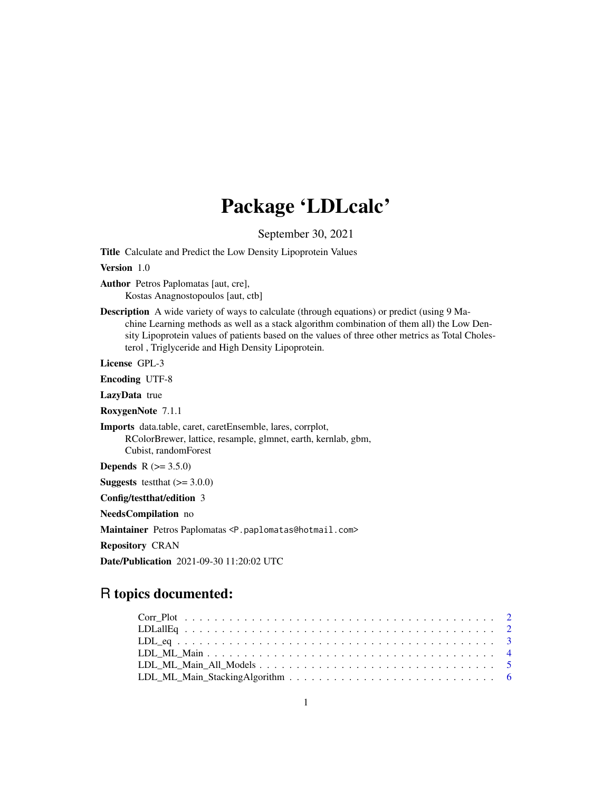## Package 'LDLcalc'

September 30, 2021

Title Calculate and Predict the Low Density Lipoprotein Values

Version 1.0

Author Petros Paplomatas [aut, cre], Kostas Anagnostopoulos [aut, ctb]

Description A wide variety of ways to calculate (through equations) or predict (using 9 Ma-

chine Learning methods as well as a stack algorithm combination of them all) the Low Density Lipoprotein values of patients based on the values of three other metrics as Total Cholesterol , Triglyceride and High Density Lipoprotein.

License GPL-3

Encoding UTF-8

LazyData true

RoxygenNote 7.1.1

Imports data.table, caret, caretEnsemble, lares, corrplot, RColorBrewer, lattice, resample, glmnet, earth, kernlab, gbm, Cubist, randomForest

**Depends**  $R$  ( $> = 3.5.0$ )

**Suggests** testthat  $(>= 3.0.0)$ 

Config/testthat/edition 3

NeedsCompilation no

Maintainer Petros Paplomatas <P.paplomatas@hotmail.com>

Repository CRAN

Date/Publication 2021-09-30 11:20:02 UTC

### R topics documented: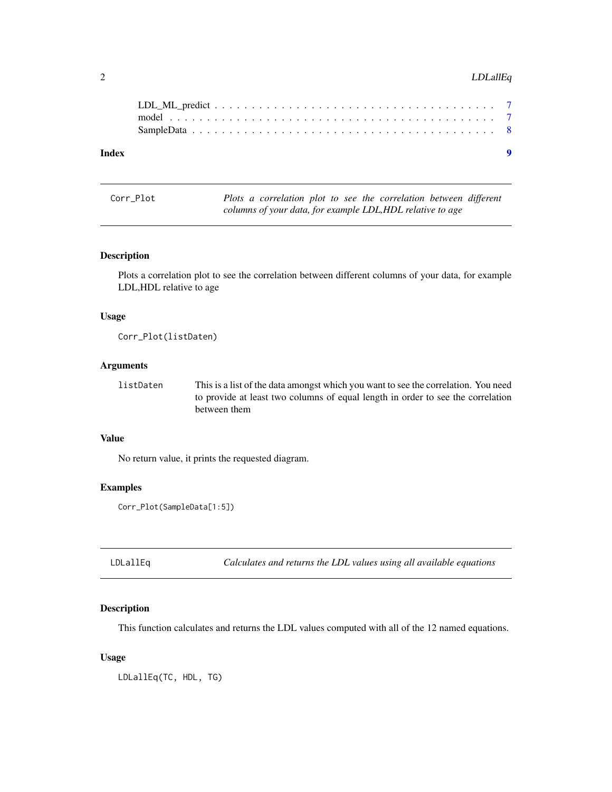#### <span id="page-1-0"></span>2 LDLallEq

| Index | $\bullet$ |  |
|-------|-----------|--|
|       |           |  |
|       |           |  |
|       |           |  |

Corr\_Plot *Plots a correlation plot to see the correlation between different columns of your data, for example LDL,HDL relative to age*

#### Description

Plots a correlation plot to see the correlation between different columns of your data, for example LDL,HDL relative to age

#### Usage

Corr\_Plot(listDaten)

#### Arguments

listDaten This is a list of the data amongst which you want to see the correlation. You need to provide at least two columns of equal length in order to see the correlation between them

#### Value

No return value, it prints the requested diagram.

#### Examples

```
Corr_Plot(SampleData[1:5])
```
LDLallEq *Calculates and returns the LDL values using all available equations*

#### Description

This function calculates and returns the LDL values computed with all of the 12 named equations.

#### Usage

LDLallEq(TC, HDL, TG)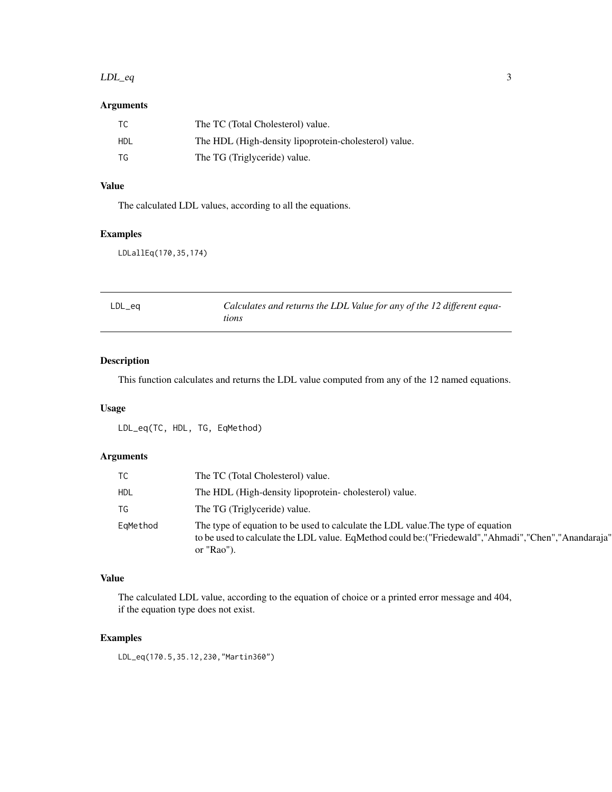#### <span id="page-2-0"></span> $LDL_{eq}$  3

#### Arguments

| TC.  | The TC (Total Cholesterol) value.                     |
|------|-------------------------------------------------------|
| HDL  | The HDL (High-density lipoprotein-cholesterol) value. |
| - TG | The TG (Triglyceride) value.                          |

#### Value

The calculated LDL values, according to all the equations.

#### Examples

LDLallEq(170,35,174)

| LDL_eq | Calculates and returns the LDL Value for any of the 12 different equa- |
|--------|------------------------------------------------------------------------|
|        | tions                                                                  |

#### Description

This function calculates and returns the LDL value computed from any of the 12 named equations.

#### Usage

LDL\_eq(TC, HDL, TG, EqMethod)

#### Arguments

|            | The TC (Total Cholesterol) value.                                                                                                                                                                         |
|------------|-----------------------------------------------------------------------------------------------------------------------------------------------------------------------------------------------------------|
| <b>HDL</b> | The HDL (High-density lipoprotein-cholesterol) value.                                                                                                                                                     |
| TG         | The TG (Triglyceride) value.                                                                                                                                                                              |
| EqMethod   | The type of equation to be used to calculate the LDL value. The type of equation<br>to be used to calculate the LDL value. EqMethod could be: ("Friedewald", "Ahmadi", "Chen", "Anandaraja"<br>or "Rao"). |

#### Value

The calculated LDL value, according to the equation of choice or a printed error message and 404, if the equation type does not exist.

#### Examples

LDL\_eq(170.5,35.12,230,"Martin360")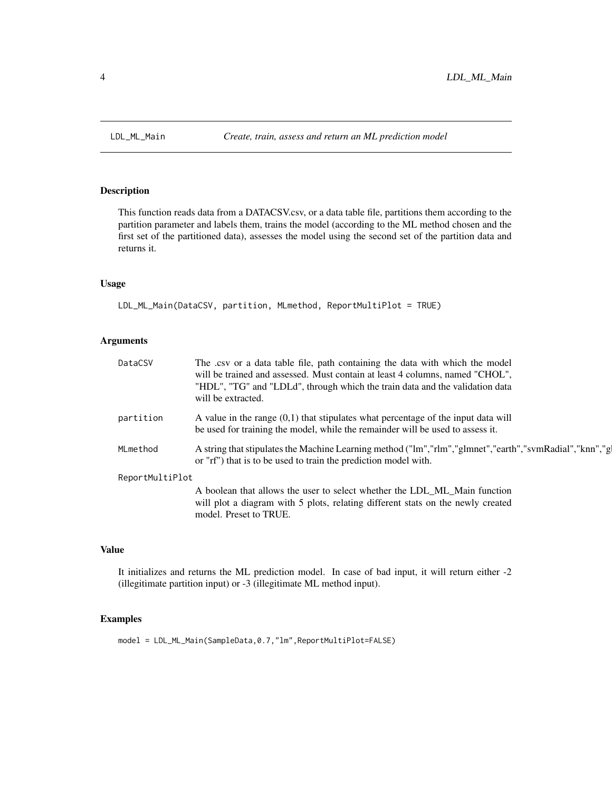<span id="page-3-0"></span>

#### Description

This function reads data from a DATACSV.csv, or a data table file, partitions them according to the partition parameter and labels them, trains the model (according to the ML method chosen and the first set of the partitioned data), assesses the model using the second set of the partition data and returns it.

#### Usage

```
LDL_ML_Main(DataCSV, partition, MLmethod, ReportMultiPlot = TRUE)
```
#### Arguments

| DataCSV         | The .csv or a data table file, path containing the data with which the model<br>will be trained and assessed. Must contain at least 4 columns, named "CHOL",<br>"HDL", "TG" and "LDLd", through which the train data and the validation data<br>will be extracted. |
|-----------------|--------------------------------------------------------------------------------------------------------------------------------------------------------------------------------------------------------------------------------------------------------------------|
| partition       | A value in the range $(0,1)$ that stipulates what percentage of the input data will<br>be used for training the model, while the remainder will be used to assess it.                                                                                              |
| MLmethod        | A string that stipulates the Machine Learning method ("lm","rlm","glmnet","earth","svmRadial","knn","g<br>or "rf") that is to be used to train the prediction model with.                                                                                          |
| ReportMultiPlot |                                                                                                                                                                                                                                                                    |
|                 | A boolean that allows the user to select whether the LDL_ML_Main function<br>will plot a diagram with 5 plots, relating different stats on the newly created<br>model. Preset to TRUE.                                                                             |
|                 |                                                                                                                                                                                                                                                                    |

#### Value

It initializes and returns the ML prediction model. In case of bad input, it will return either -2 (illegitimate partition input) or -3 (illegitimate ML method input).

#### Examples

model = LDL\_ML\_Main(SampleData,0.7,"lm",ReportMultiPlot=FALSE)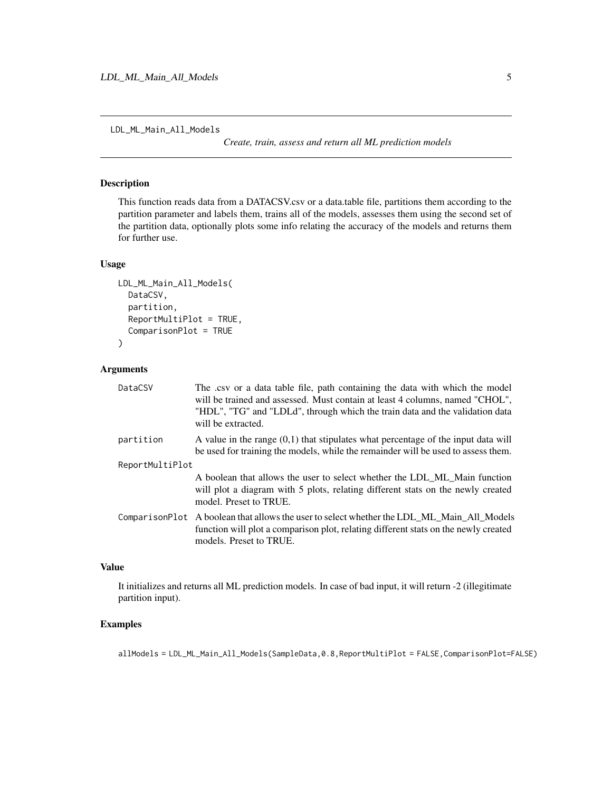<span id="page-4-0"></span>LDL\_ML\_Main\_All\_Models

*Create, train, assess and return all ML prediction models*

#### Description

This function reads data from a DATACSV.csv or a data.table file, partitions them according to the partition parameter and labels them, trains all of the models, assesses them using the second set of the partition data, optionally plots some info relating the accuracy of the models and returns them for further use.

#### Usage

```
LDL_ML_Main_All_Models(
  DataCSV,
  partition,
  ReportMultiPlot = TRUE,
  ComparisonPlot = TRUE
\mathcal{L}
```
#### Arguments

| DataCSV         | The .csv or a data table file, path containing the data with which the model<br>will be trained and assessed. Must contain at least 4 columns, named "CHOL",<br>"HDL", "TG" and "LDLd", through which the train data and the validation data<br>will be extracted. |
|-----------------|--------------------------------------------------------------------------------------------------------------------------------------------------------------------------------------------------------------------------------------------------------------------|
| partition       | A value in the range $(0,1)$ that stipulates what percentage of the input data will<br>be used for training the models, while the remainder will be used to assess them.                                                                                           |
| ReportMultiPlot |                                                                                                                                                                                                                                                                    |
|                 | A boolean that allows the user to select whether the LDL ML Main function<br>will plot a diagram with 5 plots, relating different stats on the newly created<br>model. Preset to TRUE.                                                                             |
|                 | ComparisonPlot A boolean that allows the user to select whether the LDL ML Main All Models<br>function will plot a comparison plot, relating different stats on the newly created<br>models. Preset to TRUE.                                                       |

#### Value

It initializes and returns all ML prediction models. In case of bad input, it will return -2 (illegitimate partition input).

#### Examples

allModels = LDL\_ML\_Main\_All\_Models(SampleData,0.8,ReportMultiPlot = FALSE,ComparisonPlot=FALSE)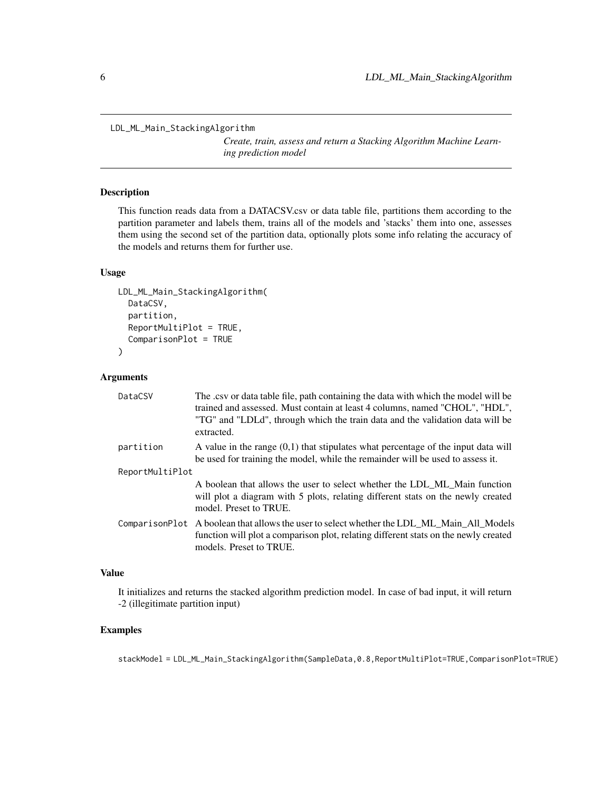<span id="page-5-0"></span>LDL\_ML\_Main\_StackingAlgorithm

*Create, train, assess and return a Stacking Algorithm Machine Learning prediction model*

#### Description

This function reads data from a DATACSV.csv or data table file, partitions them according to the partition parameter and labels them, trains all of the models and 'stacks' them into one, assesses them using the second set of the partition data, optionally plots some info relating the accuracy of the models and returns them for further use.

#### Usage

```
LDL_ML_Main_StackingAlgorithm(
  DataCSV,
  partition,
  ReportMultiPlot = TRUE,
  ComparisonPlot = TRUE
)
```
#### Arguments

| DataCSV         | The csv or data table file, path containing the data with which the model will be<br>trained and assessed. Must contain at least 4 columns, named "CHOL", "HDL",<br>"TG" and "LDLd", through which the train data and the validation data will be<br>extracted. |
|-----------------|-----------------------------------------------------------------------------------------------------------------------------------------------------------------------------------------------------------------------------------------------------------------|
| partition       | A value in the range $(0,1)$ that stipulates what percentage of the input data will<br>be used for training the model, while the remainder will be used to assess it.                                                                                           |
| ReportMultiPlot |                                                                                                                                                                                                                                                                 |
|                 | A boolean that allows the user to select whether the LDL_ML_Main function<br>will plot a diagram with 5 plots, relating different stats on the newly created<br>model. Preset to TRUE.                                                                          |
|                 | ComparisonPlot A boolean that allows the user to select whether the LDL_ML_Main_All_Models<br>function will plot a comparison plot, relating different stats on the newly created<br>models. Preset to TRUE.                                                    |

#### Value

It initializes and returns the stacked algorithm prediction model. In case of bad input, it will return -2 (illegitimate partition input)

#### Examples

stackModel = LDL\_ML\_Main\_StackingAlgorithm(SampleData,0.8,ReportMultiPlot=TRUE,ComparisonPlot=TRUE)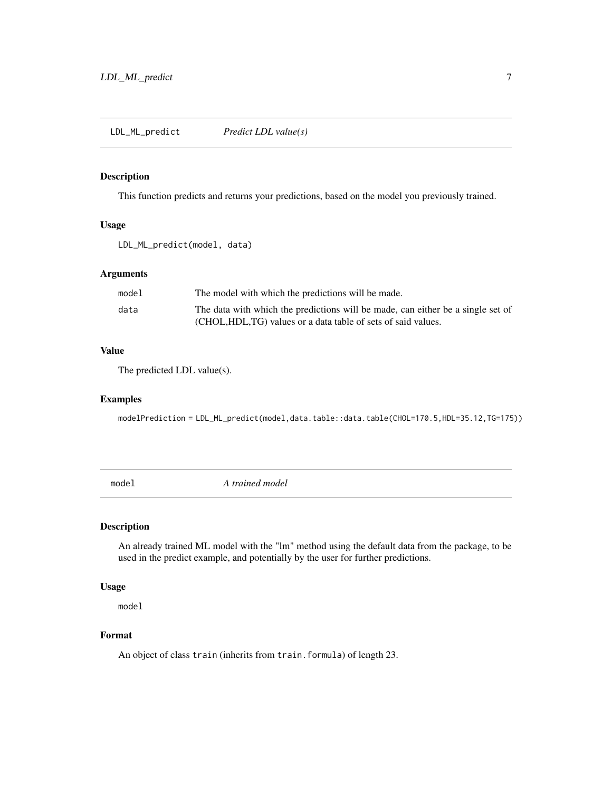#### <span id="page-6-0"></span>Description

This function predicts and returns your predictions, based on the model you previously trained.

#### Usage

```
LDL_ML_predict(model, data)
```
#### Arguments

| model | The model with which the predictions will be made.                              |
|-------|---------------------------------------------------------------------------------|
| data  | The data with which the predictions will be made, can either be a single set of |
|       | (CHOL, HDL, TG) values or a data table of sets of said values.                  |

#### Value

The predicted LDL value(s).

#### Examples

modelPrediction = LDL\_ML\_predict(model,data.table::data.table(CHOL=170.5,HDL=35.12,TG=175))

model *A trained model*

#### Description

An already trained ML model with the "lm" method using the default data from the package, to be used in the predict example, and potentially by the user for further predictions.

#### Usage

model

#### Format

An object of class train (inherits from train.formula) of length 23.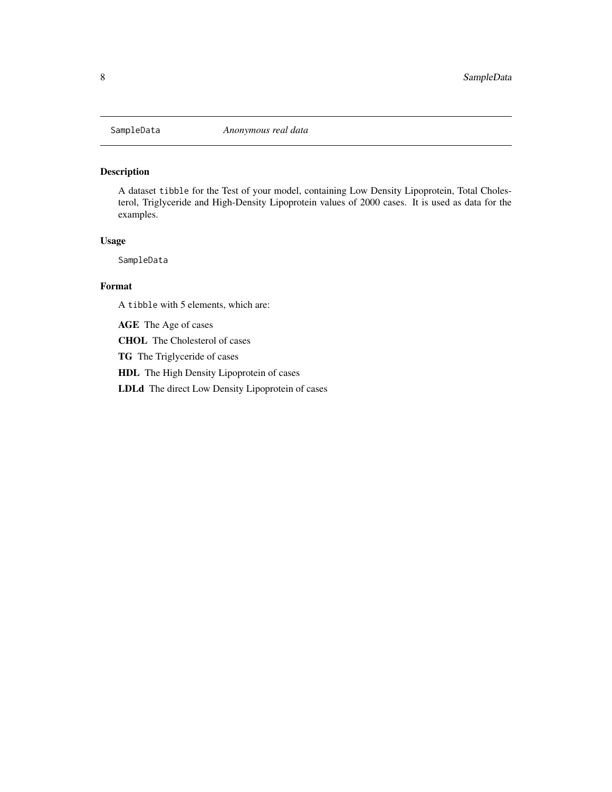<span id="page-7-0"></span>

#### Description

A dataset tibble for the Test of your model, containing Low Density Lipoprotein, Total Cholesterol, Triglyceride and High-Density Lipoprotein values of 2000 cases. It is used as data for the examples.

#### Usage

SampleData

#### Format

A tibble with 5 elements, which are:

AGE The Age of cases

CHOL The Cholesterol of cases

TG The Triglyceride of cases

HDL The High Density Lipoprotein of cases

LDLd The direct Low Density Lipoprotein of cases